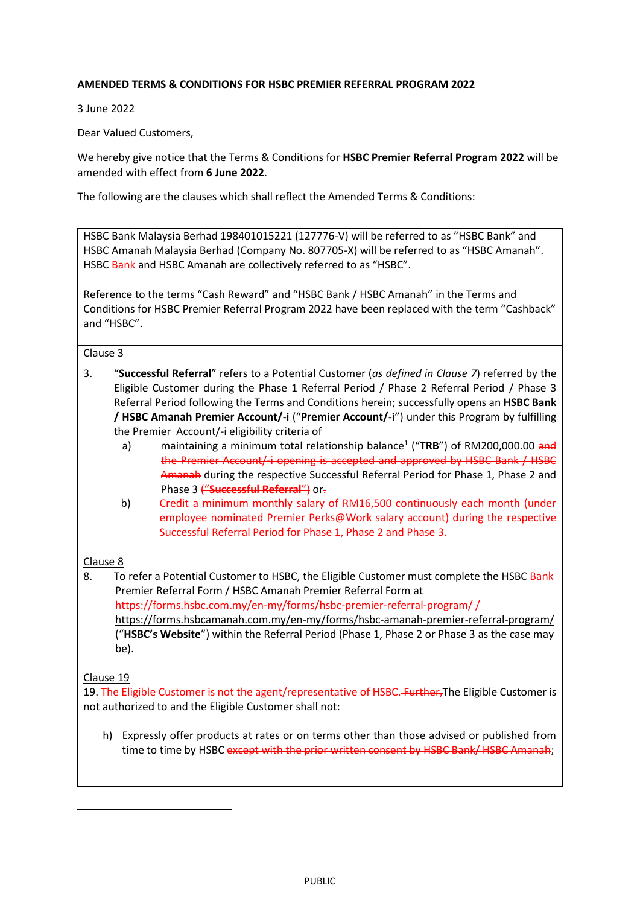## **AMENDED TERMS & CONDITIONS FOR HSBC PREMIER REFERRAL PROGRAM 2022**

3 June 2022

Dear Valued Customers,

We hereby give notice that the Terms & Conditions for **HSBC Premier Referral Program 2022** will be amended with effect from **6 June 2022**.

The following are the clauses which shall reflect the Amended Terms & Conditions:

HSBC Bank Malaysia Berhad 198401015221 (127776-V) will be referred to as "HSBC Bank" and HSBC Amanah Malaysia Berhad (Company No. 807705-X) will be referred to as "HSBC Amanah". HSBC Bank and HSBC Amanah are collectively referred to as "HSBC".

Reference to the terms "Cash Reward" and "HSBC Bank / HSBC Amanah" in the Terms and Conditions for HSBC Premier Referral Program 2022 have been replaced with the term "Cashback" and "HSBC".

Clause 3

- 3. "**Successful Referral**" refers to a Potential Customer (*as defined in Clause 7*) referred by the Eligible Customer during the Phase 1 Referral Period / Phase 2 Referral Period / Phase 3 Referral Period following the Terms and Conditions herein; successfully opens an **HSBC Bank / HSBC Amanah Premier Account/-i** ("**Premier Account/-i**") under this Program by fulfilling the Premier Account/-i eligibility criteria of
	- a) maintaining a minimum total relationship balance<sup>1</sup> ("TRB") of RM200,000.00 and the Premier Account/-i opening is accepted and approved by HSBC Bank / HSBC Amanah during the respective Successful Referral Period for Phase 1, Phase 2 and Phase 3 ("**Successful Referral**") or.
	- b) Credit a minimum monthly salary of RM16,500 continuously each month (under employee nominated Premier Perks@Work salary account) during the respective Successful Referral Period for Phase 1, Phase 2 and Phase 3.

## Clause 8

8. To refer a Potential Customer to HSBC, the Eligible Customer must complete the HSBC Bank Premier Referral Form / HSBC Amanah Premier Referral Form at <https://forms.hsbc.com.my/en-my/forms/hsbc-premier-referral-program/> / <https://forms.hsbcamanah.com.my/en-my/forms/hsbc-amanah-premier-referral-program/> ("**HSBC's Website**") within the Referral Period (Phase 1, Phase 2 or Phase 3 as the case may be).

Clause 19

**.** 

19. The Eligible Customer is not the agent/representative of HSBC. Further, The Eligible Customer is not authorized to and the Eligible Customer shall not:

h) Expressly offer products at rates or on terms other than those advised or published from time to time by HSBC except with the prior written consent by HSBC Bank/HSBC Amanah;